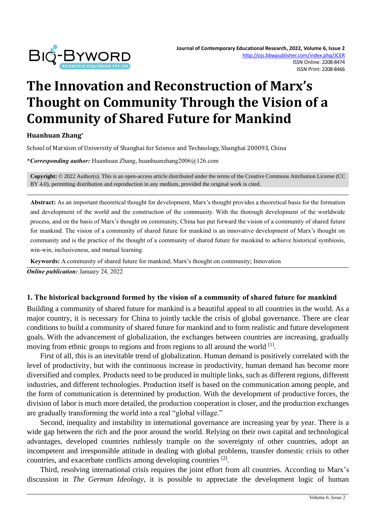

# **The Innovation and Reconstruction of Marx's Thought on Community Through the Vision of a Community of Shared Future for Mankind**

**Huanhuan Zhang\***

School of Marxism of University of Shanghai for Science and Technology, Shanghai 200093, China

**\****Corresponding author:* Huanhuan Zhang, huanhuanzhang2006@126.com

**Copyright:** © 2022 Author(s). This is an open-access article distributed under the terms of th[e Creative Commons Attribution License \(CC](https://creativecommons.org/licenses/by/4.0/)  [BY 4.0\),](https://creativecommons.org/licenses/by/4.0/) permitting distribution and reproduction in any medium, provided the original work is cited.

**Abstract:** As an important theoretical thought for development, Marx's thought provides a theoretical basis for the formation and development of the world and the construction of the community. With the thorough development of the worldwide process, and on the basis of Marx's thought on community, China has put forward the vision of a community of shared future for mankind. The vision of a community of shared future for mankind is an innovative development of Marx's thought on community and is the practice of the thought of a community of shared future for mankind to achieve historical symbiosis, win-win, inclusiveness, and mutual learning.

**Keywords:** A community of shared future for mankind; Marx's thought on community; Innovation

*Online publication:* January 24, 2022

#### **1. The historical background formed by the vision of a community of shared future for mankind**

Building a community of shared future for mankind is a beautiful appeal to all countries in the world. As a major country, it is necessary for China to jointly tackle the crisis of global governance. There are clear conditions to build a community of shared future for mankind and to form realistic and future development goals. With the advancement of globalization, the exchanges between countries are increasing, gradually moving from ethnic groups to regions and from regions to all around the world <sup>[1]</sup>.

First of all, this is an inevitable trend of globalization. Human demand is positively correlated with the level of productivity, but with the continuous increase in productivity, human demand has become more diversified and complex. Products need to be produced in multiple links, such as different regions, different industries, and different technologies. Production itself is based on the communication among people, and the form of communication is determined by production. With the development of productive forces, the division of labor is much more detailed, the production cooperation is closer, and the production exchanges are gradually transforming the world into a real "global village."

Second, inequality and instability in international governance are increasing year by year. There is a wide gap between the rich and the poor around the world. Relying on their own capital and technological advantages, developed countries ruthlessly trample on the sovereignty of other countries, adopt an incompetent and irresponsible attitude in dealing with global problems, transfer domestic crisis to other countries, and exacerbate conflicts among developing countries <sup>[2]</sup>.

Third, resolving international crisis requires the joint effort from all countries. According to Marx's discussion in *The German Ideology*, it is possible to appreciate the development logic of human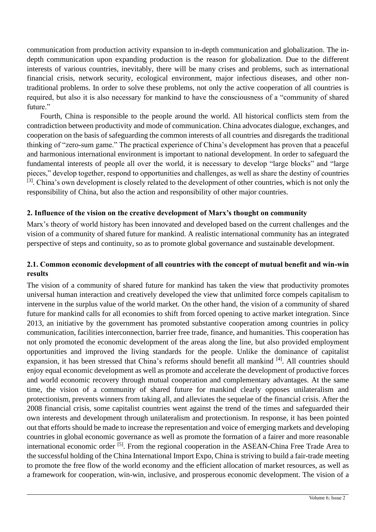communication from production activity expansion to in-depth communication and globalization. The indepth communication upon expanding production is the reason for globalization. Due to the different interests of various countries, inevitably, there will be many crises and problems, such as international financial crisis, network security, ecological environment, major infectious diseases, and other nontraditional problems. In order to solve these problems, not only the active cooperation of all countries is required, but also it is also necessary for mankind to have the consciousness of a "community of shared future."

Fourth, China is responsible to the people around the world. All historical conflicts stem from the contradiction between productivity and mode of communication. China advocates dialogue, exchanges, and cooperation on the basis of safeguarding the common interests of all countries and disregards the traditional thinking of "zero-sum game." The practical experience of China's development has proven that a peaceful and harmonious international environment is important to national development. In order to safeguard the fundamental interests of people all over the world, it is necessary to develop "large blocks" and "large pieces," develop together, respond to opportunities and challenges, as well as share the destiny of countries [3]. China's own development is closely related to the development of other countries, which is not only the responsibility of China, but also the action and responsibility of other major countries.

#### **2. Influence of the vision on the creative development of Marx's thought on community**

Marx's theory of world history has been innovated and developed based on the current challenges and the vision of a community of shared future for mankind. A realistic international community has an integrated perspective of steps and continuity, so as to promote global governance and sustainable development.

#### **2.1. Common economic development of all countries with the concept of mutual benefit and win-win results**

The vision of a community of shared future for mankind has taken the view that productivity promotes universal human interaction and creatively developed the view that unlimited force compels capitalism to intervene in the surplus value of the world market. On the other hand, the vision of a community of shared future for mankind calls for all economies to shift from forced opening to active market integration. Since 2013, an initiative by the government has promoted substantive cooperation among countries in policy communication, facilities interconnection, barrier free trade, finance, and humanities. This cooperation has not only promoted the economic development of the areas along the line, but also provided employment opportunities and improved the living standards for the people. Unlike the dominance of capitalist expansion, it has been stressed that China's reforms should benefit all mankind [4]. All countries should enjoy equal economic development as well as promote and accelerate the development of productive forces and world economic recovery through mutual cooperation and complementary advantages. At the same time, the vision of a community of shared future for mankind clearly opposes unilateralism and protectionism, prevents winners from taking all, and alleviates the sequelae of the financial crisis. After the 2008 financial crisis, some capitalist countries went against the trend of the times and safeguarded their own interests and development through unilateralism and protectionism. In response, it has been pointed out that efforts should be made to increase the representation and voice of emerging markets and developing countries in global economic governance as well as promote the formation of a fairer and more reasonable international economic order [5]. From the regional cooperation in the ASEAN-China Free Trade Area to the successful holding of the China International Import Expo, China is striving to build a fair-trade meeting to promote the free flow of the world economy and the efficient allocation of market resources, as well as a framework for cooperation, win-win, inclusive, and prosperous economic development. The vision of a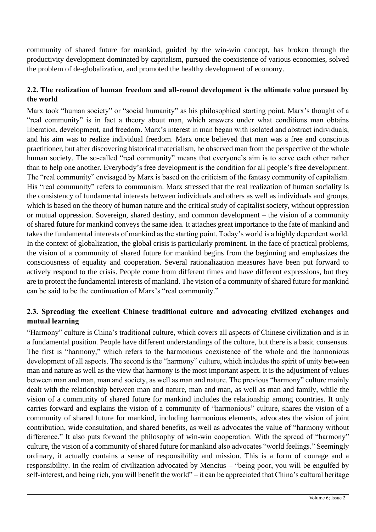community of shared future for mankind, guided by the win-win concept, has broken through the productivity development dominated by capitalism, pursued the coexistence of various economies, solved the problem of de-globalization, and promoted the healthy development of economy.

## **2.2. The realization of human freedom and all-round development is the ultimate value pursued by the world**

Marx took "human society" or "social humanity" as his philosophical starting point. Marx's thought of a "real community" is in fact a theory about man, which answers under what conditions man obtains liberation, development, and freedom. Marx's interest in man began with isolated and abstract individuals, and his aim was to realize individual freedom. Marx once believed that man was a free and conscious practitioner, but after discovering historical materialism, he observed man from the perspective of the whole human society. The so-called "real community" means that everyone's aim is to serve each other rather than to help one another. Everybody's free development is the condition for all people's free development. The "real community" envisaged by Marx is based on the criticism of the fantasy community of capitalism. His "real community" refers to communism. Marx stressed that the real realization of human sociality is the consistency of fundamental interests between individuals and others as well as individuals and groups, which is based on the theory of human nature and the critical study of capitalist society, without oppression or mutual oppression. Sovereign, shared destiny, and common development – the vision of a community of shared future for mankind conveys the same idea. It attaches great importance to the fate of mankind and takes the fundamental interests of mankind as the starting point. Today's world is a highly dependent world. In the context of globalization, the global crisis is particularly prominent. In the face of practical problems, the vision of a community of shared future for mankind begins from the beginning and emphasizes the consciousness of equality and cooperation. Several rationalization measures have been put forward to actively respond to the crisis. People come from different times and have different expressions, but they are to protect the fundamental interests of mankind. The vision of a community of shared future for mankind can be said to be the continuation of Marx's "real community."

## **2.3. Spreading the excellent Chinese traditional culture and advocating civilized exchanges and mutual learning**

"Harmony" culture is China's traditional culture, which covers all aspects of Chinese civilization and is in a fundamental position. People have different understandings of the culture, but there is a basic consensus. The first is "harmony," which refers to the harmonious coexistence of the whole and the harmonious development of all aspects. The second is the "harmony" culture, which includes the spirit of unity between man and nature as well as the view that harmony is the most important aspect. It is the adjustment of values between man and man, man and society, as well as man and nature. The previous "harmony" culture mainly dealt with the relationship between man and nature, man and man, as well as man and family, while the vision of a community of shared future for mankind includes the relationship among countries. It only carries forward and explains the vision of a community of "harmonious" culture, shares the vision of a community of shared future for mankind, including harmonious elements, advocates the vision of joint contribution, wide consultation, and shared benefits, as well as advocates the value of "harmony without difference." It also puts forward the philosophy of win-win cooperation. With the spread of "harmony" culture, the vision of a community of shared future for mankind also advocates "world feelings." Seemingly ordinary, it actually contains a sense of responsibility and mission. This is a form of courage and a responsibility. In the realm of civilization advocated by Mencius – "being poor, you will be engulfed by self-interest, and being rich, you will benefit the world" – it can be appreciated that China's cultural heritage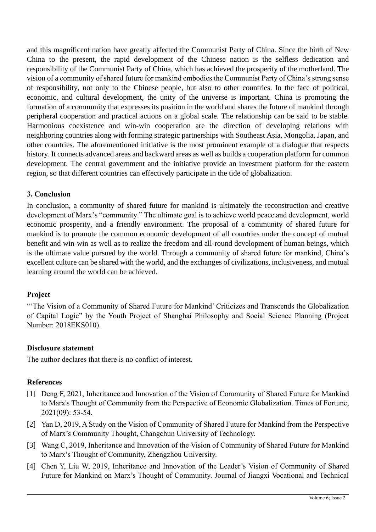and this magnificent nation have greatly affected the Communist Party of China. Since the birth of New China to the present, the rapid development of the Chinese nation is the selfless dedication and responsibility of the Communist Party of China, which has achieved the prosperity of the motherland. The vision of a community of shared future for mankind embodies the Communist Party of China's strong sense of responsibility, not only to the Chinese people, but also to other countries. In the face of political, economic, and cultural development, the unity of the universe is important. China is promoting the formation of a community that expresses its position in the world and shares the future of mankind through peripheral cooperation and practical actions on a global scale. The relationship can be said to be stable. Harmonious coexistence and win-win cooperation are the direction of developing relations with neighboring countries along with forming strategic partnerships with Southeast Asia, Mongolia, Japan, and other countries. The aforementioned initiative is the most prominent example of a dialogue that respects history. It connects advanced areas and backward areas as well as builds a cooperation platform for common development. The central government and the initiative provide an investment platform for the eastern region, so that different countries can effectively participate in the tide of globalization.

#### **3. Conclusion**

In conclusion, a community of shared future for mankind is ultimately the reconstruction and creative development of Marx's "community." The ultimate goal is to achieve world peace and development, world economic prosperity, and a friendly environment. The proposal of a community of shared future for mankind is to promote the common economic development of all countries under the concept of mutual benefit and win-win as well as to realize the freedom and all-round development of human beings, which is the ultimate value pursued by the world. Through a community of shared future for mankind, China's excellent culture can be shared with the world, and the exchanges of civilizations, inclusiveness, and mutual learning around the world can be achieved.

#### **Project**

"The Vision of a Community of Shared Future for Mankind' Criticizes and Transcends the Globalization of Capital Logic" by the Youth Project of Shanghai Philosophy and Social Science Planning (Project Number: 2018EKS010).

#### **Disclosure statement**

The author declares that there is no conflict of interest.

## **References**

- [1] Deng F, 2021, Inheritance and Innovation of the Vision of Community of Shared Future for Mankind to Marx's Thought of Community from the Perspective of Economic Globalization. Times of Fortune, 2021(09): 53-54.
- [2] Yan D, 2019, A Study on the Vision of Community of Shared Future for Mankind from the Perspective of Marx's Community Thought, Changchun University of Technology.
- [3] Wang C, 2019, Inheritance and Innovation of the Vision of Community of Shared Future for Mankind to Marx's Thought of Community, Zhengzhou University.
- [4] Chen Y, Liu W, 2019, Inheritance and Innovation of the Leader's Vision of Community of Shared Future for Mankind on Marx's Thought of Community. Journal of Jiangxi Vocational and Technical